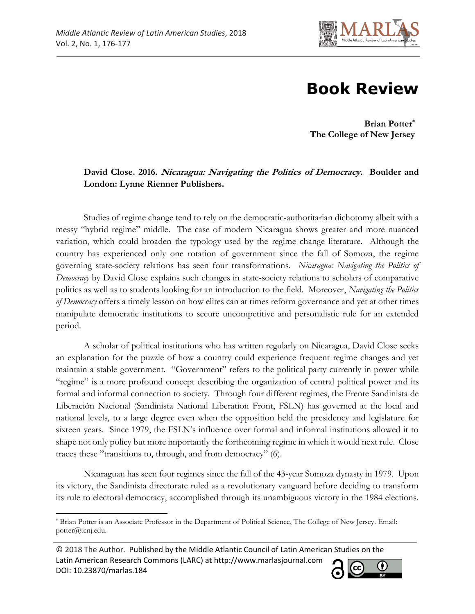

## **Book Review**

**Brian Potter\* The College of New Jersey**

## **David Close. 2016. Nicaragua: Navigating the Politics of Democracy. Boulder and London: Lynne Rienner Publishers.**

Studies of regime change tend to rely on the democratic-authoritarian dichotomy albeit with a messy "hybrid regime" middle. The case of modern Nicaragua shows greater and more nuanced variation, which could broaden the typology used by the regime change literature. Although the country has experienced only one rotation of government since the fall of Somoza, the regime governing state-society relations has seen four transformations. *Nicaragua: Navigating the Politics of Democracy* by David Close explains such changes in state-society relations to scholars of comparative politics as well as to students looking for an introduction to the field. Moreover, *Navigating the Politics of Democracy* offers a timely lesson on how elites can at times reform governance and yet at other times manipulate democratic institutions to secure uncompetitive and personalistic rule for an extended period.

A scholar of political institutions who has written regularly on Nicaragua, David Close seeks an explanation for the puzzle of how a country could experience frequent regime changes and yet maintain a stable government. "Government" refers to the political party currently in power while "regime" is a more profound concept describing the organization of central political power and its formal and informal connection to society. Through four different regimes, the Frente Sandinista de Liberación Nacional (Sandinista National Liberation Front, FSLN) has governed at the local and national levels, to a large degree even when the opposition held the presidency and legislature for sixteen years. Since 1979, the FSLN's influence over formal and informal institutions allowed it to shape not only policy but more importantly the forthcoming regime in which it would next rule. Close traces these "transitions to, through, and from democracy" (6).

Nicaraguan has seen four regimes since the fall of the 43-year Somoza dynasty in 1979. Upon its victory, the Sandinista directorate ruled as a revolutionary vanguard before deciding to transform its rule to electoral democracy, accomplished through its unambiguous victory in the 1984 elections.

 $\overline{\phantom{a}}$ 

<sup>© 2018</sup> The Author. Published by the Middle Atlantic Council of Latin American Studies on the Latin American Research Commons (LARC) at http://www.marlasjournal.com cc DOI: [10.23870/marlas.184](https://doi.org/10.23870/marlas.184)



<sup>\*</sup> Brian Potter is an Associate Professor in the Department of Political Science, The College of New Jersey. Email: potter@tcnj.edu.